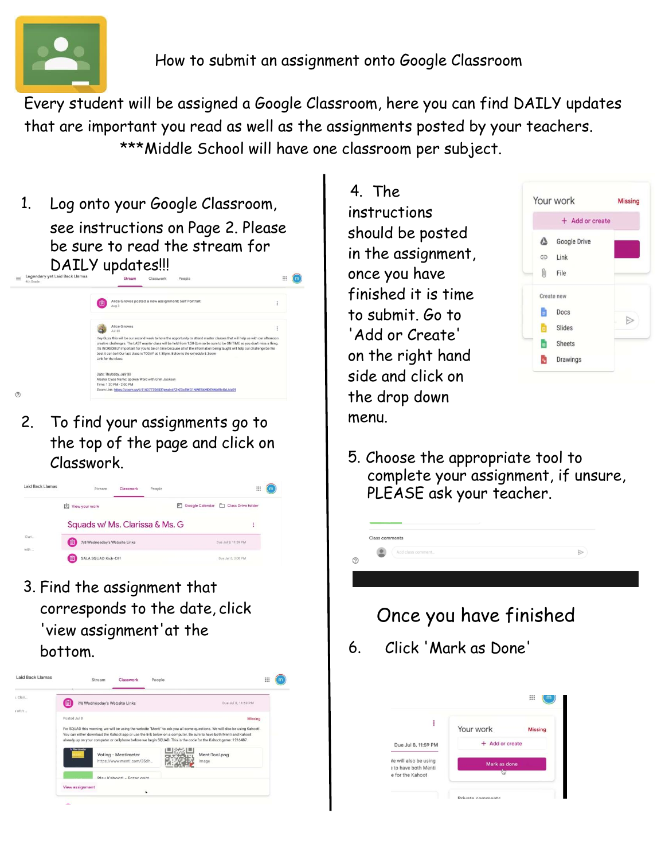

Every student will be assigned a Google Classroom, here you can find DAILY updates that are important you read as well as the assignments posted by your teachers. \*\*\*Middle School will have one classroom per subject.

1. Log onto your Google Classroom, see instructions on Page 2. Please be sure to read the stream for  $\mathsf{DALV}$  updates!!!



2. To find your assignments go to the top of the page and click on Classwork.



3. Find the assignment that corresponds to the date, click 'view assignment'at the bottom.



4. The instructions should be posted in the assignment, once you have finished it is time to submit. Go to 'Add or Create' on the right hand side and click on the drop down menu.

Class comments

?



 $\triangleright$ 

5. Choose the appropriate tool to complete your assignment, if unsure, PLEASE ask your teacher.



6. Click 'Mark as Done'